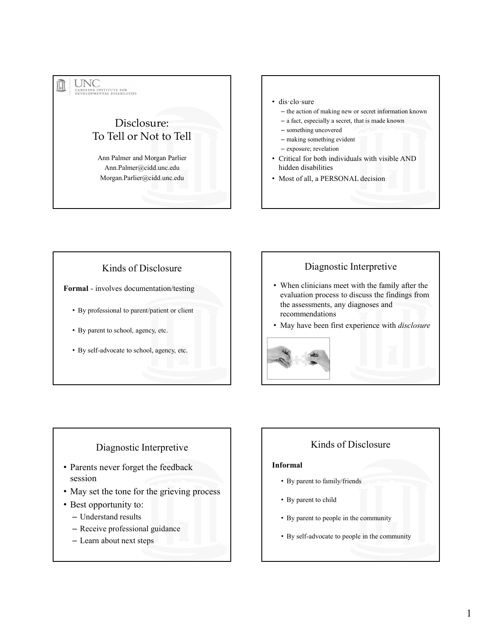# Disclosure: To Tell or Not to Tell Ann Palmer and Morgan Parlier Ann.Palmer@cidd.unc.edu Morgan.Parlier@cidd.unc.edu Formal - involves documentation/testing<br>
By professional to parent/patient or client<br>
Any professional to parent/patient or client<br>
Any professional to parent/patient or client<br>
Any professional to parent/patient or client

#### • dis·clo·sure

- the action of making new or secret information known
- a fact, especially a secret, that is made known
- something uncovered
- making something evident
- exposure; revelation
- Critical for both individuals with visible AND hidden disabilities
- Most of all, a PERSONAL decision

#### Kinds of Disclosure

- By professional to parent/patient or client
- By parent to school, agency, etc.
- By self-advocate to school, agency, etc.

#### Diagnostic Interpretive

- When clinicians meet with the family after the evaluation process to discuss the findings from the assessments, any diagnoses and recommendations
- May have been first experience with *disclosure*



#### Diagnostic Interpretive

- Parents never forget the feedback session
- May set the tone for the grieving process
- Best opportunity to:
	- Understand results
	- Receive professional guidance
	- Learn about next steps

#### Kinds of Disclosure

#### Informal

- By parent to family/friends
- By parent to child
- By parent to people in the community
- By self-advocate to people in the community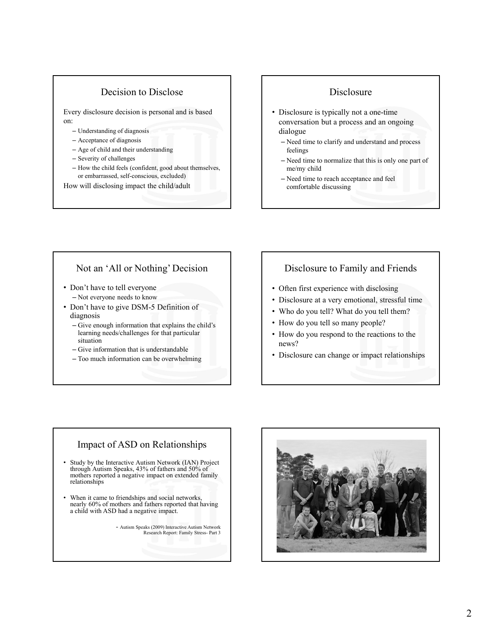#### Decision to Disclose

Every disclosure decision is personal and is based on:

- Understanding of diagnosis
- Acceptance of diagnosis
- Age of child and their understanding
- Severity of challenges
- How the child feels (confident, good about themselves, or embarrassed, self-conscious, excluded)

How will disclosing impact the child/adult

#### **Disclosure**

- Disclosure is typically not a one-time conversation but a process and an ongoing dialogue
	- Need time to clarify and understand and process feelings
	- Need time to normalize that this is only one part of me/my child
	- Need time to reach acceptance and feel comfortable discussing

#### Not an 'All or Nothing' Decision

- Don't have to tell everyone – Not everyone needs to know
- Don't have to give DSM-5 Definition of diagnosis
	- Give enough information that explains the child's learning needs/challenges for that particular situation
	- Give information that is understandable
	- Too much information can be overwhelming

#### Disclosure to Family and Friends

- Often first experience with disclosing
- Disclosure at a very emotional, stressful time
- Who do you tell? What do you tell them?
- How do you tell so many people?
- How do you respond to the reactions to the news?
- Disclosure can change or impact relationships

#### Impact of ASD on Relationships

- Study by the Interactive Autism Network (IAN) Project through Autism Speaks, 43% of fathers and 50% of mothers reported a negative impact on extended family relationships
- When it came to friendships and social networks, nearly 60% of mothers and fathers reported that having a child with ASD had a negative impact.<br>- Autism Speaks (2009) Interactive Autism Network<br>Research Report: Family Stress- Part 3

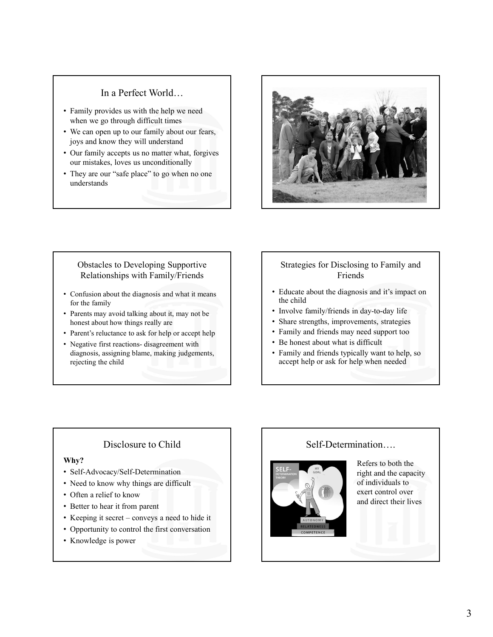#### In a Perfect World…

- Family provides us with the help we need when we go through difficult times
- We can open up to our family about our fears, joys and know they will understand
- Our family accepts us no matter what, forgives our mistakes, loves us unconditionally
- They are our "safe place" to go when no one understands



#### Obstacles to Developing Supportive Relationships with Family/Friends

- Confusion about the diagnosis and what it means for the family
- Parents may avoid talking about it, may not be honest about how things really are
- Parent's reluctance to ask for help or accept help
- diagnosis, assigning blame, making judgements, rejecting the child

#### Strategies for Disclosing to Family and Friends

- Educate about the diagnosis and it's impact on the child
- Involve family/friends in day-to-day life
- Share strengths, improvements, strategies
- Family and friends may need support too
- Be honest about what is difficult
- Family and friends typically want to help, so accept help or ask for help when needed

#### Disclosure to Child

#### Why?

- Self-Advocacy/Self-Determination
- Need to know why things are difficult
- Often a relief to know
- Better to hear it from parent
- 
- 
- Knowledge is power

#### Self-Determination….



Refers to both the right and the capacity of individuals to exert control over and direct their lives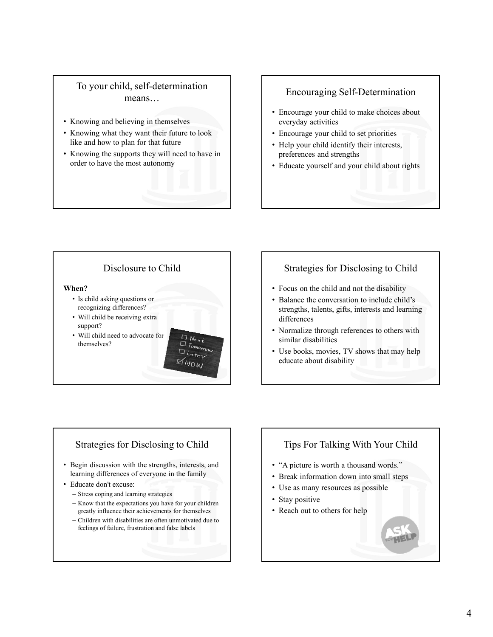#### To your child, self-determination means…

- Knowing and believing in themselves
- Knowing what they want their future to look like and how to plan for that future
- Knowing the supports they will need to have in order to have the most autonomy

#### Encouraging Self-Determination

- Encourage your child to make choices about everyday activities
- Encourage your child to set priorities
- Help your child identify their interests, preferences and strengths
- Educate yourself and your child about rights

### Disclosure to Child When? • Is child asking questions or recognizing differences? • Will child be receiving extra support? • Will child need to advocate for themselves?  $\Box$   $\Box$   $\Box$   $\Box$ ator  $\boxtimes_{N0M}$

#### Strategies for Disclosing to Child

- Focus on the child and not the disability
- Balance the conversation to include child's strengths, talents, gifts, interests and learning differences
- Normalize through references to others with similar disabilities
- Use books, movies, TV shows that may help educate about disability

#### Strategies for Disclosing to Child

- Begin discussion with the strengths, interests, and learning differences of everyone in the family
- Educate don't excuse:
	- Stress coping and learning strategies
	- Know that the expectations you have for your children greatly influence their achievements for themselves
	- Children with disabilities are often unmotivated due to feelings of failure, frustration and false labels

#### Tips For Talking With Your Child

- "A picture is worth a thousand words."
- Break information down into small steps
- Use as many resources as possible
- Stay positive
- Reach out to others for help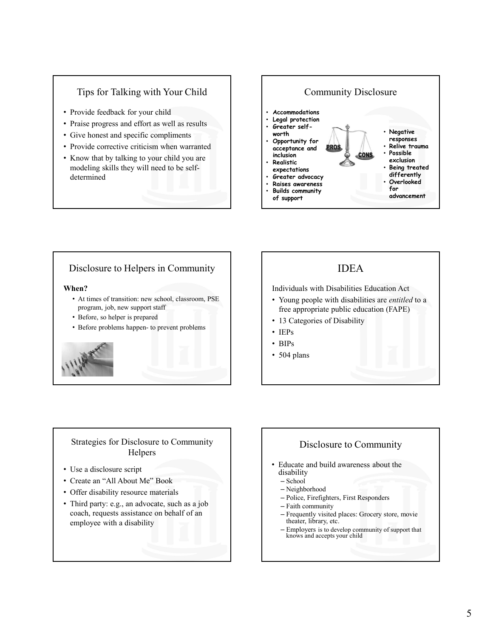#### Tips for Talking with Your Child

- Provide feedback for your child
- Praise progress and effort as well as results
- Give honest and specific compliments
- Provide corrective criticism when warranted
- Know that by talking to your child you are modeling skills they will need to be selfdetermined



#### Disclosure to Helpers in Community

#### When?

- At times of transition: new school, classroom, PSE program, job, new support staff
- Before, so helper is prepared
- 



#### IDEA

Individuals with Disabilities Education Act

- Young people with disabilities are entitled to a free appropriate public education (FAPE)
- 13 Categories of Disability
- IEPs
- BIPs
- 504 plans

#### Strategies for Disclosure to Community Helpers

- Use a disclosure script
- Create an "All About Me" Book
- Offer disability resource materials
- Third party: e.g., an advocate, such as a job coach, requests assistance on behalf of an employee with a disability

## Disclosure to Community

- Educate and build awareness about the disability
	- School
	- Neighborhood
	- Police, Firefighters, First Responders
	- Faith community
	- Frequently visited places: Grocery store, movie theater, library, etc.
	- Employers is to develop community of support that knows and accepts your child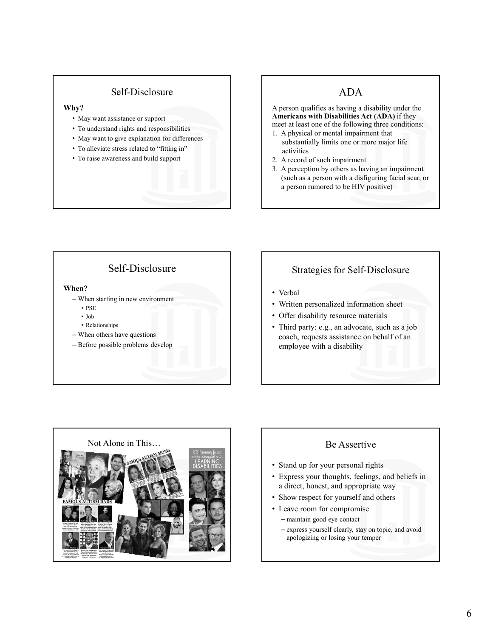#### Self-Disclosure

#### Why?

- May want assistance or support
- To understand rights and responsibilities
- May want to give explanation for differences
- To alleviate stress related to "fitting in"
- To raise awareness and build support

#### ADA

A person qualifies as having a disability under the Americans with Disabilities Act (ADA) if they meet at least one of the following three conditions:

- 1. A physical or mental impairment that substantially limits one or more major life activities
- 2. A record of such impairment
- 3. A perception by others as having an impairment (such as a person with a disfiguring facial scar, or a person rumored to be HIV positive)

### Self-Disclosure

#### When?

- When starting in new environment
	- PSE **FREQUEL PRODUCTS PSE**
	- Job
	- Relationships
- When others have questions
- Before possible problems develop

#### Strategies for Self-Disclosure

- Verbal
- Written personalized information sheet
- Offer disability resource materials
- Third party: e.g., an advocate, such as a job coach, requests assistance on behalf of an employee with a disability



- Stand up for your personal rights
- Express your thoughts, feelings, and beliefs in a direct, honest, and appropriate way
- Show respect for yourself and others
- Leave room for compromise
	- maintain good eye contact
	- express yourself clearly, stay on topic, and avoid apologizing or losing your temper